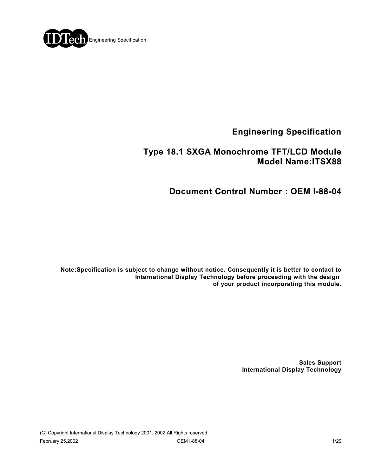

**Engineering Specification**

## **Type 18.1 SXGA Monochrome TFT/LCD Module Model Name:ITSX88**

**Document Control Number : OEM I-88-04**

**Note:Specification is subject to change without notice. Consequently it is better to contact to International Display Technology before proceeding with the design of your product incorporating this module.**

> **Sales Support International Display Technology**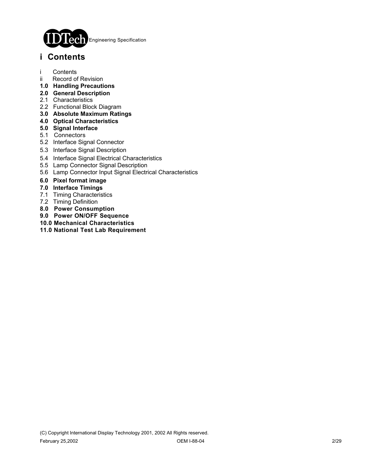

## **i Contents**

- i Contents
- ii Record of Revision
- **1.0 Handling Precautions**
- **2.0 General Description**
- 2.1 Characteristics
- 2.2 Functional Block Diagram
- **3.0 Absolute Maximum Ratings**
- **4.0 Optical Characteristics**
- **5.0 Signal Interface**
- 5.1 Connectors
- 5.2 Interface Signal Connector
- 5.3 Interface Signal Description
- 5.4 Interface Signal Electrical Characteristics
- 5.5 Lamp Connector Signal Description
- 5.6 Lamp Connector Input Signal Electrical Characteristics
- **6.0 Pixel format image**
- **7.0 Interface Timings**
- 7.1 Timing Characteristics
- 7.2 Timing Definition
- **8.0 Power Consumption**
- **9.0 Power ON/OFF Sequence**
- **10.0 Mechanical Characteristics**
- **11.0 National Test Lab Requirement**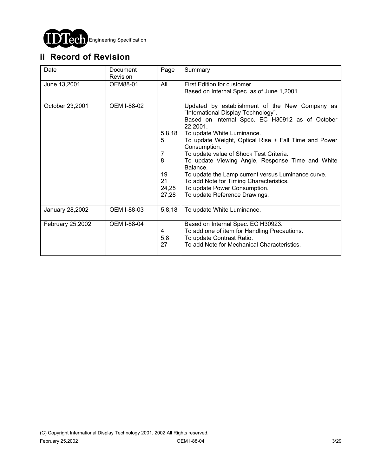

# **ii Record of Revision**

| Date             | Document<br>Revision | Page                                                  | Summary                                                                                                                                                                                                                                                                                                                                                                                                                                                                                                                                 |
|------------------|----------------------|-------------------------------------------------------|-----------------------------------------------------------------------------------------------------------------------------------------------------------------------------------------------------------------------------------------------------------------------------------------------------------------------------------------------------------------------------------------------------------------------------------------------------------------------------------------------------------------------------------------|
| June 13,2001     | OEM88-01             | All                                                   | First Edition for customer.<br>Based on Internal Spec. as of June 1,2001.                                                                                                                                                                                                                                                                                                                                                                                                                                                               |
| October 23,2001  | <b>OEM I-88-02</b>   | 5, 8, 18<br>5<br>7<br>8<br>19<br>21<br>24,25<br>27,28 | Updated by establishment of the New Company as<br>"International Display Technology".<br>Based on Internal Spec. EC H30912 as of October<br>22,2001.<br>To update White Luminance.<br>To update Weight, Optical Rise + Fall Time and Power<br>Consumption.<br>To update value of Shock Test Criteria.<br>To update Viewing Angle, Response Time and White<br>Balance.<br>To update the Lamp current versus Luminance curve.<br>To add Note for Timing Characteristics.<br>To update Power Consumption.<br>To update Reference Drawings. |
| January 28,2002  | <b>OEM I-88-03</b>   | 5,8,18                                                | To update White Luminance.                                                                                                                                                                                                                                                                                                                                                                                                                                                                                                              |
| February 25,2002 | <b>OEM I-88-04</b>   | 4<br>5,8<br>27                                        | Based on Internal Spec. EC H30923.<br>To add one of item for Handling Precautions.<br>To update Contrast Ratio.<br>To add Note for Mechanical Characteristics.                                                                                                                                                                                                                                                                                                                                                                          |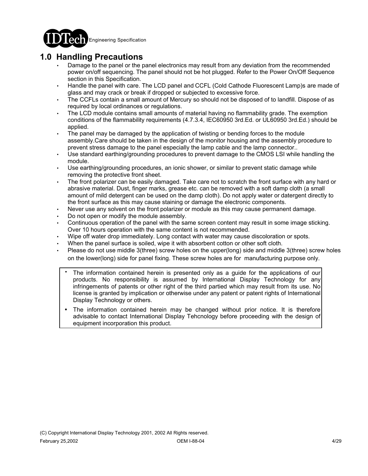

## **1.0 Handling Precautions**

- Damage to the panel or the panel electronics may result from any deviation from the recommended power on/off sequencing. The panel should not be hot plugged. Refer to the Power On/Off Sequence section in this Specification.
- Handle the panel with care. The LCD panel and CCFL (Cold Cathode Fluorescent Lamp)s are made of glass and may crack or break if dropped or subjected to excessive force.
- The CCFLs contain a small amount of Mercury so should not be disposed of to landfill. Dispose of as required by local ordinances or regulations.
- The LCD module contains small amounts of material having no flammability grade. The exemption conditions of the flammability requirements (4.7.3.4, IEC60950 3rd.Ed. or UL60950 3rd.Ed.) should be applied.
- The panel may be damaged by the application of twisting or bending forces to the module assembly.Care should be taken in the design of the monitor housing and the assembly procedure to prevent stress damage to the panel especially the lamp cable and the lamp connector..
- Use standard earthing/grounding procedures to prevent damage to the CMOS LSI while handling the module.
- Use earthing/grounding procedures, an ionic shower, or similar to prevent static damage while removing the protective front sheet.
- The front polarizer can be easily damaged. Take care not to scratch the front surface with any hard or abrasive material. Dust, finger marks, grease etc. can be removed with a soft damp cloth (a small amount of mild detergent can be used on the damp cloth). Do not apply water or datergent directly to the front surface as this may cause staining or damage the electronic components.
- Never use any solvent on the front polarizer or module as this may cause permanent damage.
- Do not open or modify the module assembly.
- Continuous operation of the panel with the same screen content may result in some image sticking. Over 10 hours operation with the same content is not recommended.
- Wipe off water drop immediately. Long contact with water may cause discoloration or spots.
- When the panel surface is soiled, wipe it with absorbent cotton or other soft cloth.
- Please do not use middle 3(three) screw holes on the upper(long) side and middle 3(three) screw holes on the lower(long) side for panel fixing. These screw holes are for manufacturing purpose only.
	- The information contained herein is presented only as a guide for the applications of our products. No responsibility is assumed by International Display Technology for any infringements of patents or other right of the third partied which may result from its use. No license is granted by implication or otherwise under any patent or patent rights of International Display Technology or others. .
	- The information contained herein may be changed without prior notice. It is therefore advisable to contact International Display Tehcnology before proceeding with the design of equipment incorporation this product. .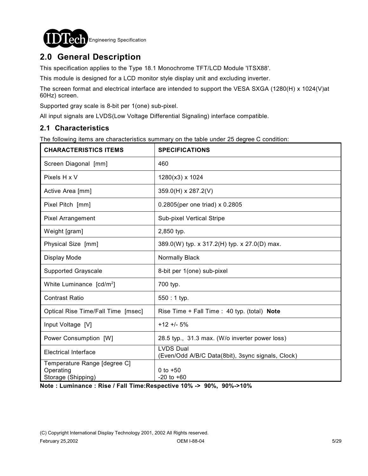

## **2.0 General Description**

This specification applies to the Type 18.1 Monochrome TFT/LCD Module 'ITSX88'.

This module is designed for a LCD monitor style display unit and excluding inverter.

The screen format and electrical interface are intended to support the VESA SXGA (1280(H) x 1024(V)at 60Hz) screen.

Supported gray scale is 8-bit per 1(one) sub-pixel.

All input signals are LVDS(Low Voltage Differential Signaling) interface compatible.

### **2.1 Characteristics**

The following items are characteristics summary on the table under 25 degree C condition:

| <b>CHARACTERISTICS ITEMS</b>                                    | <b>SPECIFICATIONS</b>                                                 |  |  |
|-----------------------------------------------------------------|-----------------------------------------------------------------------|--|--|
| Screen Diagonal [mm]                                            | 460                                                                   |  |  |
| Pixels H x V                                                    | 1280(x3) x 1024                                                       |  |  |
| Active Area [mm]                                                | 359.0(H) x 287.2(V)                                                   |  |  |
| Pixel Pitch [mm]                                                | 0.2805(per one triad) x 0.2805                                        |  |  |
| <b>Pixel Arrangement</b>                                        | Sub-pixel Vertical Stripe                                             |  |  |
| Weight [gram]                                                   | 2,850 typ.                                                            |  |  |
| Physical Size [mm]                                              | 389.0(W) typ. x 317.2(H) typ. x 27.0(D) max.                          |  |  |
| Display Mode                                                    | Normally Black                                                        |  |  |
| <b>Supported Grayscale</b>                                      | 8-bit per 1(one) sub-pixel                                            |  |  |
| White Luminance [cd/m <sup>2</sup> ]                            | 700 typ.                                                              |  |  |
| <b>Contrast Ratio</b>                                           | $550:1$ typ.                                                          |  |  |
| Optical Rise Time/Fall Time [msec]                              | Rise Time + Fall Time : 40 typ. (total) Note                          |  |  |
| Input Voltage [V]                                               | $+12 + 5%$                                                            |  |  |
| Power Consumption [W]                                           | 28.5 typ., 31.3 max. (W/o inverter power loss)                        |  |  |
| <b>Electrical Interface</b>                                     | <b>LVDS Dual</b><br>(Even/Odd A/B/C Data(8bit), 3sync signals, Clock) |  |  |
| Temperature Range [degree C]<br>Operating<br>Storage (Shipping) | $0$ to $+50$<br>$-20$ to $+60$                                        |  |  |

**Note : Luminance : Rise / Fall Time:Respective 10% -> 90%, 90%->10%**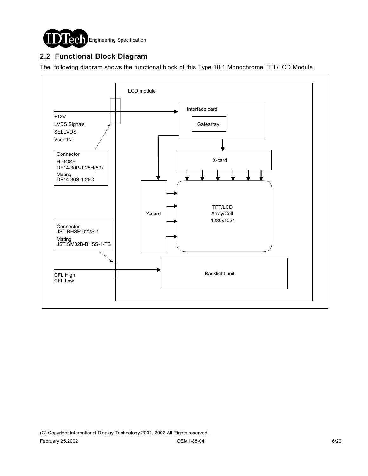

### **2.2 Functional Block Diagram**

The following diagram shows the functional block of this Type 18.1 Monochrome TFT/LCD Module.

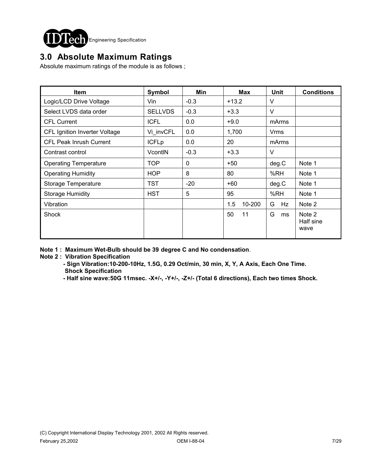

# **3.0 Absolute Maximum Ratings**

Absolute maximum ratings of the module is as follows ;

| Item                           | Symbol         | Min      | Max           | <b>Unit</b> | <b>Conditions</b>           |
|--------------------------------|----------------|----------|---------------|-------------|-----------------------------|
| Logic/LCD Drive Voltage        | Vin            | $-0.3$   | $+13.2$       | V           |                             |
| Select LVDS data order         | <b>SELLVDS</b> | $-0.3$   | $+3.3$        | $\vee$      |                             |
| <b>CFL Current</b>             | <b>ICFL</b>    | 0.0      | $+9.0$        | mArms       |                             |
| CFL Ignition Inverter Voltage  | Vi invCFL      | 0.0      | 1,700         | Vrms        |                             |
| <b>CFL Peak Inrush Current</b> | <b>ICFLp</b>   | 0.0      | 20            | mArms       |                             |
| Contrast control               | VcontlN        | $-0.3$   | $+3.3$        | V           |                             |
| <b>Operating Temperature</b>   | <b>TOP</b>     | $\Omega$ | $+50$         | deg.C       | Note 1                      |
| <b>Operating Humidity</b>      | <b>HOP</b>     | 8        | 80            | %RH         | Note 1                      |
| Storage Temperature            | TST            | $-20$    | $+60$         | deg.C       | Note 1                      |
| <b>Storage Humidity</b>        | <b>HST</b>     | 5        | 95            | %RH         | Note 1                      |
| Vibration                      |                |          | 10-200<br>1.5 | G<br>Hz     | Note 2                      |
| Shock                          |                |          | 50<br>11      | G<br>ms     | Note 2<br>Half sine<br>wave |

**Note 1 : Maximum Wet-Bulb should be 39 degree C and No condensation**.

**Note 2 : Vibration Specification**

 **- Sign Vibration:10-200-10Hz, 1.5G, 0.29 Oct/min, 30 min, X, Y, A Axis, Each One Time. Shock Specification**

 **- Half sine wave:50G 11msec. -X+/-, -Y+/-, -Z+/- (Total 6 directions), Each two times Shock.**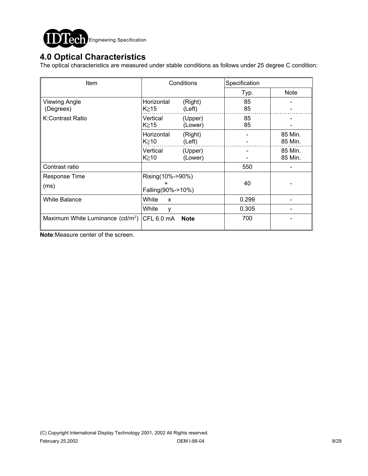

## **4.0 Optical Characteristics**

The optical characteristics are measured under stable conditions as follows under 25 degree C condition:

| Item                                         | Conditions                            |                    | Specification |                    |
|----------------------------------------------|---------------------------------------|--------------------|---------------|--------------------|
|                                              |                                       |                    | Typ.          | <b>Note</b>        |
| <b>Viewing Angle</b><br>(Degrees)            | Horizontal<br>K≧15                    | (Right)<br>(Left)  | 85<br>85      |                    |
| K:Contrast Ratio                             | Vertical<br>K≧15                      | (Upper)<br>(Lower) | 85<br>85      |                    |
|                                              | Horizontal<br>$K \geq 10$             | (Right)<br>(Left)  |               | 85 Min.<br>85 Min. |
|                                              | Vertical<br>$K \geq 10$               | (Upper)<br>(Lower) |               | 85 Min.<br>85 Min. |
| Contrast ratio                               |                                       |                    | 550           |                    |
| Response Time<br>(ms)                        | Rising(10%->90%)<br>Falling(90%->10%) |                    | 40            |                    |
| <b>White Balance</b>                         | White<br>X                            |                    | 0.299         |                    |
|                                              | White<br>٧                            |                    | 0.305         |                    |
| Maximum White Luminance (cd/m <sup>2</sup> ) | $ $ CFL 6.0 mA                        | <b>Note</b>        | 700           |                    |

**Note**:Measure center of the screen.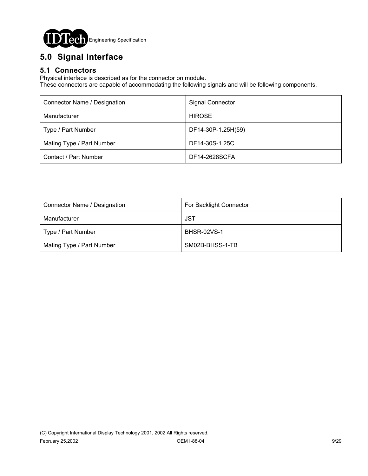

# **5.0 Signal Interface**

### **5.1 Connectors**

Physical interface is described as for the connector on module.

These connectors are capable of accommodating the following signals and will be following components.

| Connector Name / Designation | <b>Signal Connector</b> |
|------------------------------|-------------------------|
| Manufacturer                 | <b>HIROSE</b>           |
| Type / Part Number           | DF14-30P-1.25H(59)      |
| Mating Type / Part Number    | DF14-30S-1.25C          |
| Contact / Part Number        | DF14-2628SCFA           |

| Connector Name / Designation | For Backlight Connector |
|------------------------------|-------------------------|
| Manufacturer                 | JST                     |
| Type / Part Number           | <b>BHSR-02VS-1</b>      |
| Mating Type / Part Number    | SM02B-BHSS-1-TB         |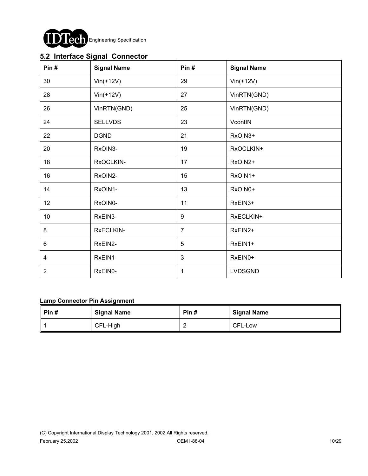

### **5.2 Interface Signal Connector**

| Pin#       | <b>Signal Name</b> | Pin#           | <b>Signal Name</b> |
|------------|--------------------|----------------|--------------------|
| 30         | $Vin(+12V)$        | 29             | $Vin(+12V)$        |
| 28         | $Vin(+12V)$        | 27             | VinRTN(GND)        |
| 26         | VinRTN(GND)        | 25             | VinRTN(GND)        |
| 24         | <b>SELLVDS</b>     | 23             | VcontIN            |
| 22         | <b>DGND</b>        | 21             | RxOIN3+            |
| 20         | RxOIN3-            | 19             | RxOCLKIN+          |
| 18         | RxOCLKIN-          | 17             | RxOIN2+            |
| 16         | RxOIN2-            | 15             | RxOIN1+            |
| 14         | RxOIN1-            | 13             | RxOIN0+            |
| 12         | RxOIN0-            | 11             | RxEIN3+            |
| 10         | RxEIN3-            | 9              | RxECLKIN+          |
| 8          | RxECLKIN-          | $\overline{7}$ | RxEIN2+            |
| 6          | RxEIN2-            | 5              | RxEIN1+            |
| 4          | RxEIN1-            | 3              | RxEIN0+            |
| $\sqrt{2}$ | RxEIN0-            | 1              | LVDSGND            |

### **Lamp Connector Pin Assignment**

| ∣ Pin # | <b>Signal Name</b> | Pin# | <b>Signal Name</b> |
|---------|--------------------|------|--------------------|
|         | CFL-High           |      | CFL-Low            |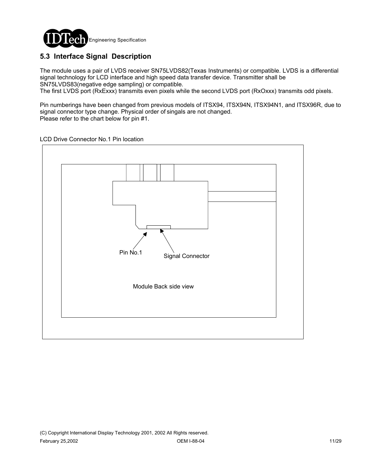

### **5.3 Interface Signal Description**

The module uses a pair of LVDS receiver SN75LVDS82(Texas Instruments) or compatible. LVDS is a differential signal technology for LCD interface and high speed data transfer device. Transmitter shall be SN75LVDS83(negative edge sampling) or compatible.

The first LVDS port (RxExxx) transmits even pixels while the second LVDS port (RxOxxx) transmits odd pixels.

Pin numberings have been changed from previous models of ITSX94, ITSX94N, ITSX94N1, and ITSX96R, due to signal connector type change. Physical order of singals are not changed. Please refer to the chart below for pin #1.

LCD Drive Connector No.1 Pin location

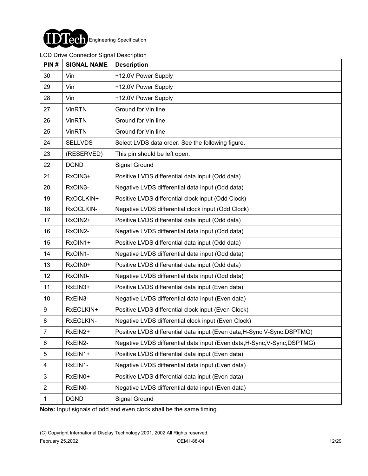

### LCD Drive Connector Signal Description

| PIN#           | <b>SIGNAL NAME</b> | <b>Description</b>                                                        |
|----------------|--------------------|---------------------------------------------------------------------------|
| 30             | Vin                | +12.0V Power Supply                                                       |
| 29             | Vin                | +12.0V Power Supply                                                       |
| 28             | Vin                | +12.0V Power Supply                                                       |
| 27             | <b>VinRTN</b>      | Ground for Vin line                                                       |
| 26             | <b>VinRTN</b>      | Ground for Vin line                                                       |
| 25             | <b>VinRTN</b>      | Ground for Vin line                                                       |
| 24             | <b>SELLVDS</b>     | Select LVDS data order. See the following figure.                         |
| 23             | (RESERVED)         | This pin should be left open.                                             |
| 22             | <b>DGND</b>        | Signal Ground                                                             |
| 21             | RxOIN3+            | Positive LVDS differential data input (Odd data)                          |
| 20             | RxOIN3-            | Negative LVDS differential data input (Odd data)                          |
| 19             | RxOCLKIN+          | Positive LVDS differential clock input (Odd Clock)                        |
| 18             | RxOCLKIN-          | Negative LVDS differential clock input (Odd Clock)                        |
| 17             | RxOIN2+            | Positive LVDS differential data input (Odd data)                          |
| 16             | RxOIN2-            | Negative LVDS differential data input (Odd data)                          |
| 15             | RxOIN1+            | Positive LVDS differential data input (Odd data)                          |
| 14             | RxOIN1-            | Negative LVDS differential data input (Odd data)                          |
| 13             | RxOIN0+            | Positive LVDS differential data input (Odd data)                          |
| 12             | RxOIN0-            | Negative LVDS differential data input (Odd data)                          |
| 11             | RxEIN3+            | Positive LVDS differential data input (Even data)                         |
| 10             | RxEIN3-            | Negative LVDS differential data input (Even data)                         |
| 9              | RxECLKIN+          | Positive LVDS differential clock input (Even Clock)                       |
| 8              | RxECLKIN-          | Negative LVDS differential clock input (Even Clock)                       |
| $\overline{7}$ | RxEIN2+            | Positive LVDS differential data input (Even data, H-Sync, V-Sync, DSPTMG) |
| 6              | RxEIN2-            | Negative LVDS differential data input (Even data, H-Sync, V-Sync, DSPTMG) |
| 5              | RxEIN1+            | Positive LVDS differential data input (Even data)                         |
| 4              | RxEIN1-            | Negative LVDS differential data input (Even data)                         |
| 3              | RxEIN0+            | Positive LVDS differential data input (Even data)                         |
| $\overline{2}$ | RxEIN0-            | Negative LVDS differential data input (Even data)                         |
| 1              | <b>DGND</b>        | Signal Ground                                                             |

**Note:** Input signals of odd and even clock shall be the same timing.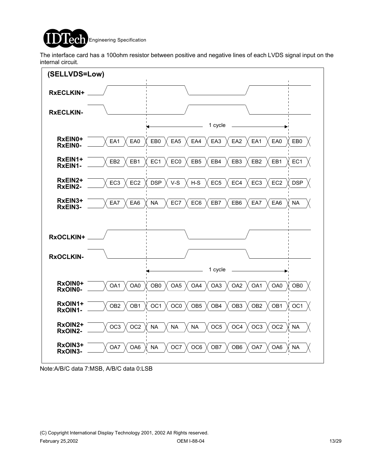

The interface card has a 100ohm resistor between positive and negative lines of each LVDS signal input on the internal circuit.



Note:A/B/C data 7:MSB, A/B/C data 0:LSB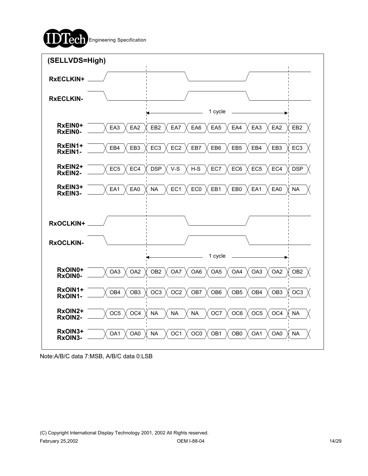



Note:A/B/C data 7:MSB, A/B/C data 0:LSB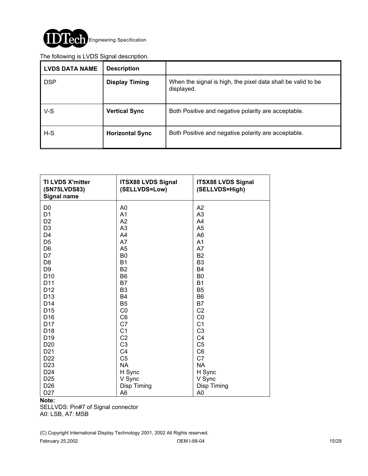

### The following is LVDS Signal description.

| <b>LVDS DATA NAME</b> | <b>Description</b>     |                                                                            |
|-----------------------|------------------------|----------------------------------------------------------------------------|
| <b>DSP</b>            | <b>Display Timing</b>  | When the signal is high, the pixel data shall be valid to be<br>displayed. |
| $V-S$                 | <b>Vertical Sync</b>   | Both Positive and negative polarity are acceptable.                        |
| $H-S$                 | <b>Horizontal Sync</b> | Both Positive and negative polarity are acceptable.                        |

| TI LVDS X'mitter<br>(SN75LVDS83)<br><b>Signal name</b> | <b>ITSX88 LVDS Signal</b><br>(SELLVDS=Low) | <b>ITSX88 LVDS Signal</b><br>(SELLVDS=High) |
|--------------------------------------------------------|--------------------------------------------|---------------------------------------------|
| D <sub>0</sub>                                         | A <sub>0</sub>                             | A2                                          |
| D <sub>1</sub>                                         | A <sub>1</sub>                             | A <sub>3</sub>                              |
| D <sub>2</sub>                                         | A2                                         | A4                                          |
| D <sub>3</sub>                                         | A <sub>3</sub>                             | A <sub>5</sub>                              |
| D <sub>4</sub>                                         | A4                                         | A <sub>6</sub>                              |
| D <sub>5</sub>                                         | A7                                         | A <sub>1</sub>                              |
| D <sub>6</sub>                                         | A <sub>5</sub>                             | A7                                          |
| D7                                                     | B <sub>0</sub>                             | <b>B2</b>                                   |
| D <sub>8</sub>                                         | <b>B1</b>                                  | B <sub>3</sub>                              |
| D <sub>9</sub>                                         | <b>B2</b>                                  | <b>B4</b>                                   |
| D <sub>10</sub>                                        | B <sub>6</sub>                             | B <sub>0</sub>                              |
| D11                                                    | B7                                         | <b>B1</b>                                   |
| D <sub>12</sub>                                        | B <sub>3</sub>                             | B <sub>5</sub>                              |
| D <sub>13</sub>                                        | <b>B4</b>                                  | B <sub>6</sub>                              |
| D <sub>14</sub>                                        | B <sub>5</sub>                             | B7                                          |
| D <sub>15</sub>                                        | CO                                         | C <sub>2</sub>                              |
| D <sub>16</sub>                                        | C <sub>6</sub>                             | CO                                          |
| D17                                                    | C <sub>7</sub>                             | C <sub>1</sub>                              |
| D <sub>18</sub>                                        | C <sub>1</sub>                             | C <sub>3</sub>                              |
| D <sub>19</sub>                                        | C <sub>2</sub>                             | C <sub>4</sub>                              |
| D <sub>20</sub>                                        | C <sub>3</sub>                             | C <sub>5</sub>                              |
| D <sub>21</sub>                                        | C <sub>4</sub>                             | C <sub>6</sub>                              |
| D <sub>22</sub>                                        | C <sub>5</sub>                             | C7                                          |
| D <sub>23</sub>                                        | <b>NA</b>                                  | <b>NA</b>                                   |
| D24                                                    | H Sync                                     | H Sync                                      |
| D <sub>25</sub>                                        | V Sync                                     | V Sync                                      |
| D <sub>26</sub>                                        | Disp Timing                                | Disp Timing                                 |
| D <sub>27</sub>                                        | A <sub>6</sub>                             | A <sub>0</sub>                              |

#### **Note:**

SELLVDS: Pin#7 of Signal connector A0: LSB, A7: MSB

(C) Copyright International Display Technology 2001, 2002 All Rights reserved.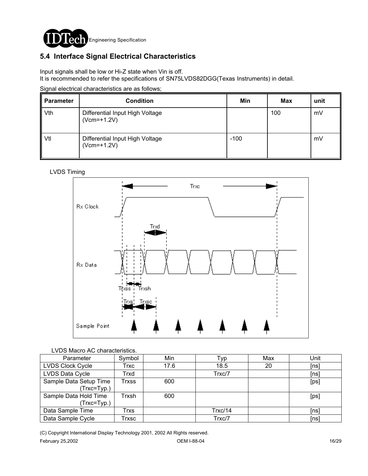

## **5.4 Interface Signal Electrical Characteristics**

Input signals shall be low or Hi-Z state when Vin is off.

It is recommended to refer the specifications of SN75LVDS82DGG(Texas Instruments) in detail.

| <b>Parameter</b> | <b>Condition</b>                                 | Min    | Max | unit |
|------------------|--------------------------------------------------|--------|-----|------|
| Vth              | Differential Input High Voltage<br>$(Vcm=+1.2V)$ |        | 100 | mV   |
| Vtl              | Differential Input High Voltage<br>$(Vcm=+1.2V)$ | $-100$ |     | mV   |

### LVDS Timing



#### LVDS Macro AC characteristics.

| Parameter                             | Symbol                                         | Min  | Typ     | Max | Unit |
|---------------------------------------|------------------------------------------------|------|---------|-----|------|
| LVDS Clock Cycle                      | Trxc                                           | 17.6 | 18.5    | 20  | [ns] |
| LVDS Data Cycle                       | Trxd                                           |      | Trxc/7  |     | [ns] |
| Sample Data Setup Time<br>(Trxc=Typ.) | Trxss                                          | 600  |         |     | [ps] |
| Sample Data Hold Time<br>(Trxc=Typ.)  | Trxsh                                          | 600  |         |     | [ps] |
| Data Sample Time                      | Trxs                                           |      | Trxc/14 |     | [ns] |
| Data Sample Cycle                     | $\mathsf{Tr} \mathsf{x}\mathsf{s}\mathsf{c}$ . |      | Trxc/7  |     | [ns] |

(C) Copyright International Display Technology 2001, 2002 All Rights reserved.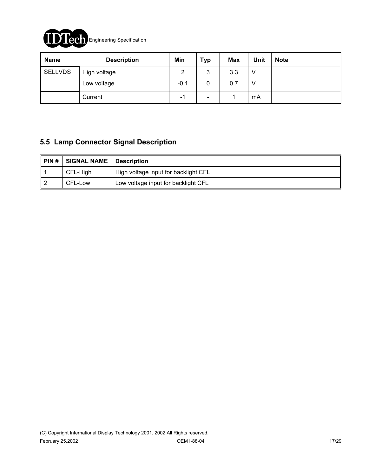

| <b>Name</b>    | <b>Description</b> | Min    | <b>Typ</b>      | <b>Max</b> | Unit | <b>Note</b> |
|----------------|--------------------|--------|-----------------|------------|------|-------------|
| <b>SELLVDS</b> | High voltage       | 2      | 3               | 3.3        |      |             |
|                | Low voltage        | $-0.1$ | 0               | 0.7        |      |             |
|                | Current            | - 1    | $\qquad \qquad$ |            | mA   |             |

### **5.5 Lamp Connector Signal Description**

| PIN# | <b>SIGNAL NAME</b> | <b>Description</b>                   |
|------|--------------------|--------------------------------------|
|      | CFL-High           | High voltage input for backlight CFL |
|      | CFL-Low            | Low voltage input for backlight CFL  |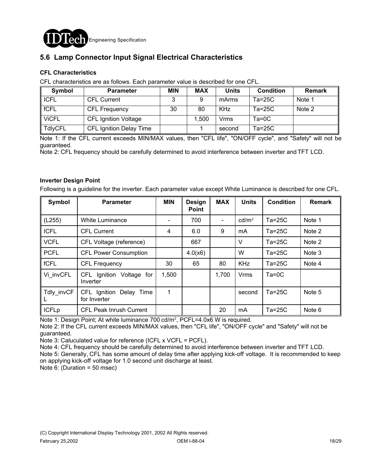

### **5.6 Lamp Connector Input Signal Electrical Characteristics**

#### **CFL Characteristics**

CFL characteristics are as follows. Each parameter value is described for one CFL.

| Symbol         | <b>Parameter</b>               | <b>MIN</b> | <b>MAX</b> | <b>Units</b> | <b>Condition</b> | <b>Remark</b> |
|----------------|--------------------------------|------------|------------|--------------|------------------|---------------|
| <b>ICFL</b>    | <b>CFL Current</b>             |            |            | mArms        | $Ta=25C$         | Note 1        |
| fCFL           | <b>CFL Frequency</b>           | 30         | 80         | <b>KHz</b>   | $Ta=25C$         | Note 2        |
| <b>ViCFL</b>   | <b>CFL Ignition Voltage</b>    |            | 1,500      | Vrms         | $Ta=0C$          |               |
| <b>TdlyCFL</b> | <b>CFL Ignition Delay Time</b> |            |            | second       | $Ta=25C$         |               |

Note 1: If the CFL current exceeds MIN/MAX values, then "CFL life", "ON/OFF cycle", and "Safety" will not be guaranteed.

Note 2: CFL frequency should be carefully determined to avoid interference between inverter and TFT LCD.

#### **Inverter Design Point**

Following is a guideline for the inverter. Each parameter value except White Luminance is described for one CFL.

| Symbol       | <b>Parameter</b>                           | <b>MIN</b> | Design<br><b>Point</b> | <b>MAX</b>     | <b>Units</b>      | <b>Condition</b> | <b>Remark</b> |
|--------------|--------------------------------------------|------------|------------------------|----------------|-------------------|------------------|---------------|
| (L255)       | <b>White Luminance</b>                     |            | 700                    | $\blacksquare$ | cd/m <sup>2</sup> | $Ta=25C$         | Note 1        |
| <b>ICFL</b>  | <b>CFL Current</b>                         | 4          | 6.0                    | 9              | mA                | $Ta=25C$         | Note 2        |
| <b>VCFL</b>  | CFL Voltage (reference)                    |            | 667                    |                | V                 | $Ta=25C$         | Note 2        |
| <b>PCFL</b>  | <b>CFL Power Consumption</b>               |            | 4.0(x6)                |                | W                 | $Ta=25C$         | Note 3        |
| fCFL         | <b>CFL Frequency</b>                       | 30         | 65                     | 80             | <b>KHz</b>        | $Ta=25C$         | Note 4        |
| Vi invCFL    | CFL Ignition Voltage for<br>Inverter       | 1,500      |                        | 1,700          | <b>Vrms</b>       | $Ta=0C$          |               |
| Tdly invCF   | CFL Ignition<br>Delay Time<br>for Inverter | 1          |                        |                | second            | $Ta=25C$         | Note 5        |
| <b>ICFLp</b> | <b>CFL Peak Inrush Current</b>             |            |                        | 20             | mA                | $Ta=25C$         | Note 6        |

Note 1: Design Point; At white luminance 700 cd/m<sup>2</sup>, PCFL=4.0x6 W is required.

Note 2: If the CFL current exceeds MIN/MAX values, then "CFL life", "ON/OFF cycle" and "Safety" will not be guaranteed.

Note 3: Caluculated value for reference (ICFL x VCFL = PCFL).

Note 4: CFL frequency should be carefully determined to avoid interference between inverter and TFT LCD.

Note 5: Generally, CFL has some amount of delay time after applying kick-off voltage. It is recommended to keep on applying kick-off voltage for 1.0 second unit discharge at least.

Note 6: (Duration = 50 msec)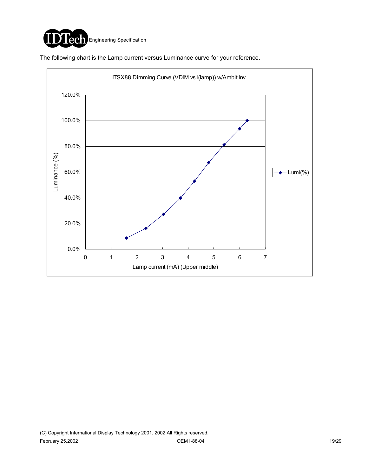

The following chart is the Lamp current versus Luminance curve for your reference.

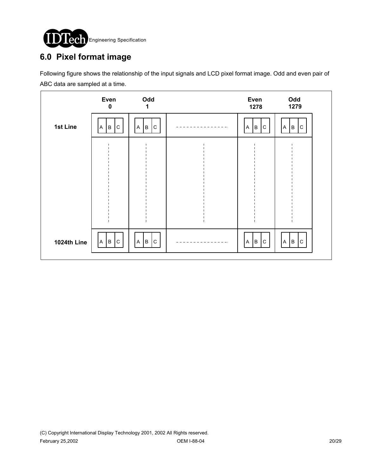

# **6.0 Pixel format image**

Following figure shows the relationship of the input signals and LCD pixel format image. Odd and even pair of ABC data are sampled at a time.

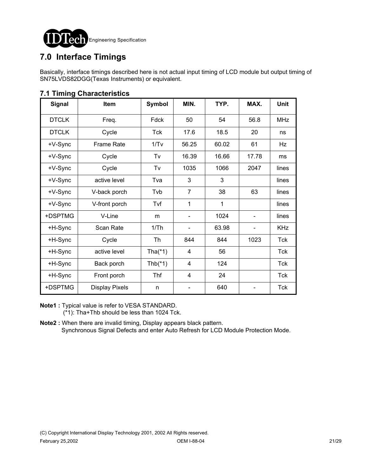

## **7.0 Interface Timings**

Basically, interface timings described here is not actual input timing of LCD module but output timing of SN75LVDS82DGG(Texas Instruments) or equivalent.

| Signal       | Item                  | <b>Symbol</b> | MIN.           | TYP.  | MAX.                     | <b>Unit</b> |
|--------------|-----------------------|---------------|----------------|-------|--------------------------|-------------|
| <b>DTCLK</b> | Freq.                 | Fdck          | 50             | 54    | 56.8                     | <b>MHz</b>  |
| <b>DTCLK</b> | Cycle                 | Tck           | 17.6           | 18.5  | 20                       | ns          |
| +V-Sync      | <b>Frame Rate</b>     | 1/Tv          | 56.25          | 60.02 | 61                       | Hz          |
| +V-Sync      | Cycle                 | Tv            | 16.39          | 16.66 | 17.78                    | ms          |
| +V-Sync      | Cycle                 | Tv            | 1035           | 1066  | 2047                     | lines       |
| +V-Sync      | active level          | Tva           | 3              | 3     |                          | lines       |
| +V-Sync      | V-back porch          | Tvb           | $\overline{7}$ | 38    | 63                       | lines       |
| +V-Sync      | V-front porch         | Tvf           | 1              | 1     |                          | lines       |
| +DSPTMG      | V-Line                | m             |                | 1024  |                          | lines       |
| +H-Sync      | Scan Rate             | 1/Th          |                | 63.98 | $\overline{\phantom{a}}$ | <b>KHz</b>  |
| +H-Sync      | Cycle                 | Th            | 844            | 844   | 1023                     | <b>Tck</b>  |
| +H-Sync      | active level          | Tha $(*1)$    | 4              | 56    |                          | Tck         |
| +H-Sync      | Back porch            | Thb $(*1)$    | 4              | 124   |                          | <b>Tck</b>  |
| +H-Sync      | Front porch           | Thf           | 4              | 24    |                          | Tck         |
| +DSPTMG      | <b>Display Pixels</b> | n             |                | 640   |                          | <b>Tck</b>  |

### **7.1 Timing Characteristics**

**Note1 :** Typical value is refer to VESA STANDARD. (\*1): Tha+Thb should be less than 1024 Tck.

**Note2 :** When there are invalid timing, Display appears black pattern. Synchronous Signal Defects and enter Auto Refresh for LCD Module Protection Mode.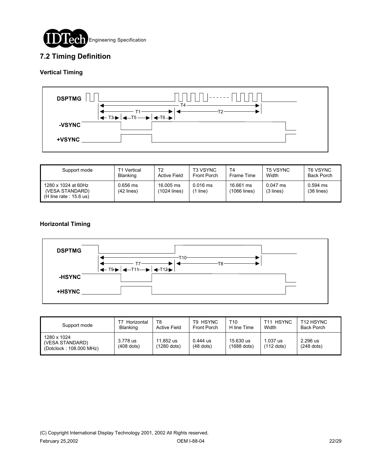

### **7.2 Timing Definition**

#### **Vertical Timing**



| Support mode                                                        | ™1 Vertical              | T2                        | <b>T3 VSYNC</b>     | T4                        | <b>T5 VSYNC</b>         | T6 VSYNC                   |
|---------------------------------------------------------------------|--------------------------|---------------------------|---------------------|---------------------------|-------------------------|----------------------------|
|                                                                     | <b>Blanking</b>          | <b>Active Field</b>       | Front Porch         | Frame Time                | Width                   | Back Porch                 |
| 1280 x 1024 at 60Hz<br>(VESA STANDARD)<br>(H line rate : $15.6$ us) | 0.656 ms<br>$(42$ lines) | 16,005 ms<br>(1024 lines) | $0.016$ ms<br>line) | 16.661 ms<br>(1066 lines) | $0.047$ ms<br>(3 lines) | $0.594$ ms<br>$(38$ lines) |

#### **Horizontal Timing**



| Support mode                                              | Horizontal<br><b>Blanking</b> | T8<br><b>Active Field</b> | T9 HSYNC<br>Front Porch   | T10<br>H line Time         | <b>HSYNC</b><br>T11<br>Width | T <sub>12</sub> HSYNC<br><b>Back Porch</b> |
|-----------------------------------------------------------|-------------------------------|---------------------------|---------------------------|----------------------------|------------------------------|--------------------------------------------|
| 1280 x 1024<br>(VESA STANDARD)<br>(Dotclock: 108.000 MHz) | 3.778 us<br>$(408$ dots)      | 11.852 us<br>(1280 dots)  | $0.444$ us<br>$(48$ dots) | 15.630 us<br>$(1688$ dots) | .037 us<br>$(112$ dots)      | 2.296 us<br>$(248$ dots)                   |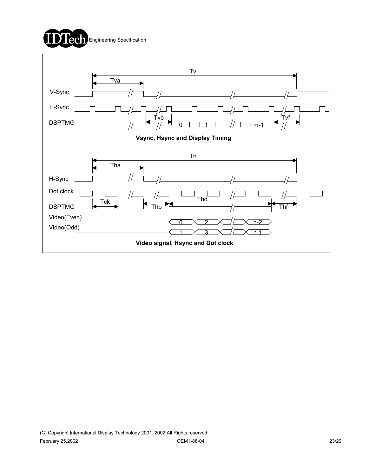

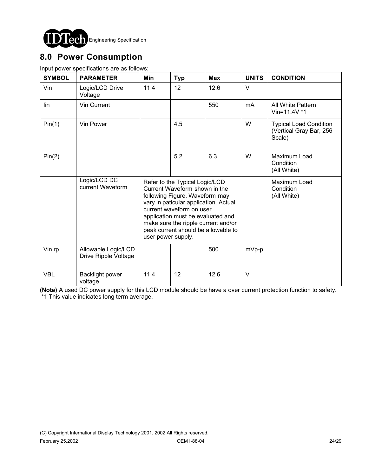

## **8.0 Power Consumption**

Input power specifications are as follows;

| <b>SYMBOL</b> | <b>PARAMETER</b>                            | <b>Min</b>                                                                                                                                                                                                                                                                                                      | <b>Typ</b> | <b>Max</b> | <b>UNITS</b> | <b>CONDITION</b>                                                   |
|---------------|---------------------------------------------|-----------------------------------------------------------------------------------------------------------------------------------------------------------------------------------------------------------------------------------------------------------------------------------------------------------------|------------|------------|--------------|--------------------------------------------------------------------|
| Vin           | Logic/LCD Drive<br>Voltage                  | 11.4                                                                                                                                                                                                                                                                                                            | 12         | 12.6       | $\vee$       |                                                                    |
| lin           | Vin Current                                 |                                                                                                                                                                                                                                                                                                                 |            | 550        | mA           | All White Pattern<br>Vin=11.4V *1                                  |
| Pin(1)        | Vin Power                                   |                                                                                                                                                                                                                                                                                                                 | 4.5        |            | W            | <b>Typical Load Condition</b><br>(Vertical Gray Bar, 256<br>Scale) |
| Pin(2)        |                                             |                                                                                                                                                                                                                                                                                                                 | 5.2        | 6.3        | W            | Maximum Load<br>Condition<br>(All White)                           |
|               | Logic/LCD DC<br>current Waveform            | Refer to the Typical Logic/LCD<br>Current Waveform shown in the<br>following Figure. Waveform may<br>vary in paticular application. Actual<br>current waveform on user<br>application must be evaluated and<br>make sure the ripple current and/or<br>peak current should be allowable to<br>user power supply. |            |            |              | Maximum Load<br>Condition<br>(All White)                           |
| Vin rp        | Allowable Logic/LCD<br>Drive Ripple Voltage |                                                                                                                                                                                                                                                                                                                 |            | 500        | mVp-p        |                                                                    |
| <b>VBL</b>    | Backlight power<br>voltage                  | 11.4                                                                                                                                                                                                                                                                                                            | 12         | 12.6       | $\vee$       |                                                                    |

**(Note)** A used DC power supply for this LCD module should be have a over current protection function to safety. \*1 This value indicates long term average.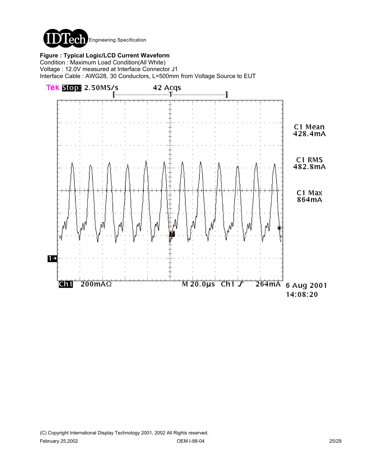

**Figure : Typical Logic/LCD Current Waveform** Condition : Maximum Load Condition(All White) Voltage : 12.0V measured at Interface Connector J1 Interface Cable : AWG28, 30 Conductors, L=500mm from Voltage Source to EUT

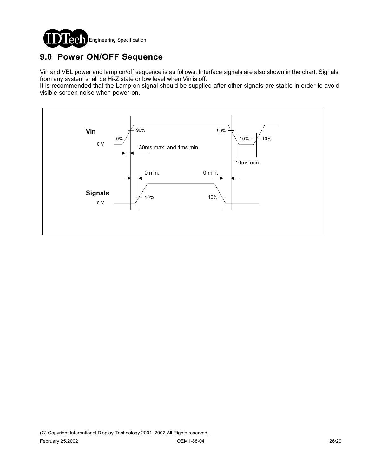

## **9.0 Power ON/OFF Sequence**

Vin and VBL power and lamp on/off sequence is as follows. Interface signals are also shown in the chart. Signals from any system shall be Hi-Z state or low level when Vin is off.

It is recommended that the Lamp on signal should be supplied after other signals are stable in order to avoid visible screen noise when power-on.

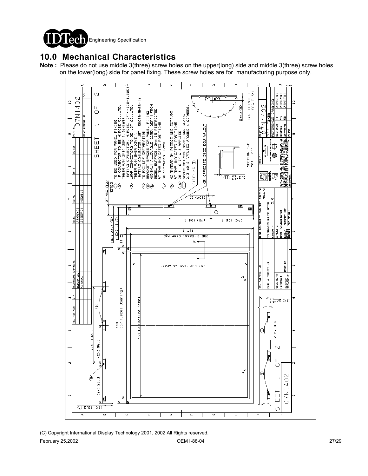

## **10.0 Mechanical Characteristics**

**Note :** Please do not use middle 3(three) screw holes on the upper(long) side and middle 3(three) screw holes on the lower(long) side for panel fixing. These screw holes are for manufacturing purpose only.

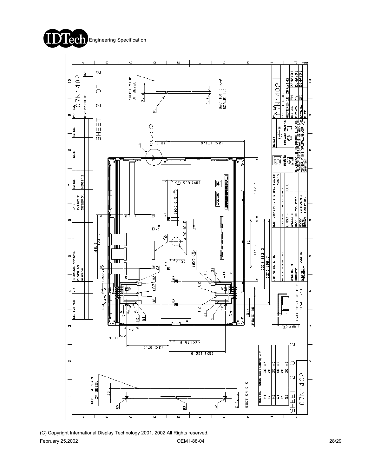



(C) Copyright International Display Technology 2001, 2002 All Rights reserved. February 25,2002 OEM I-88-04 28/29